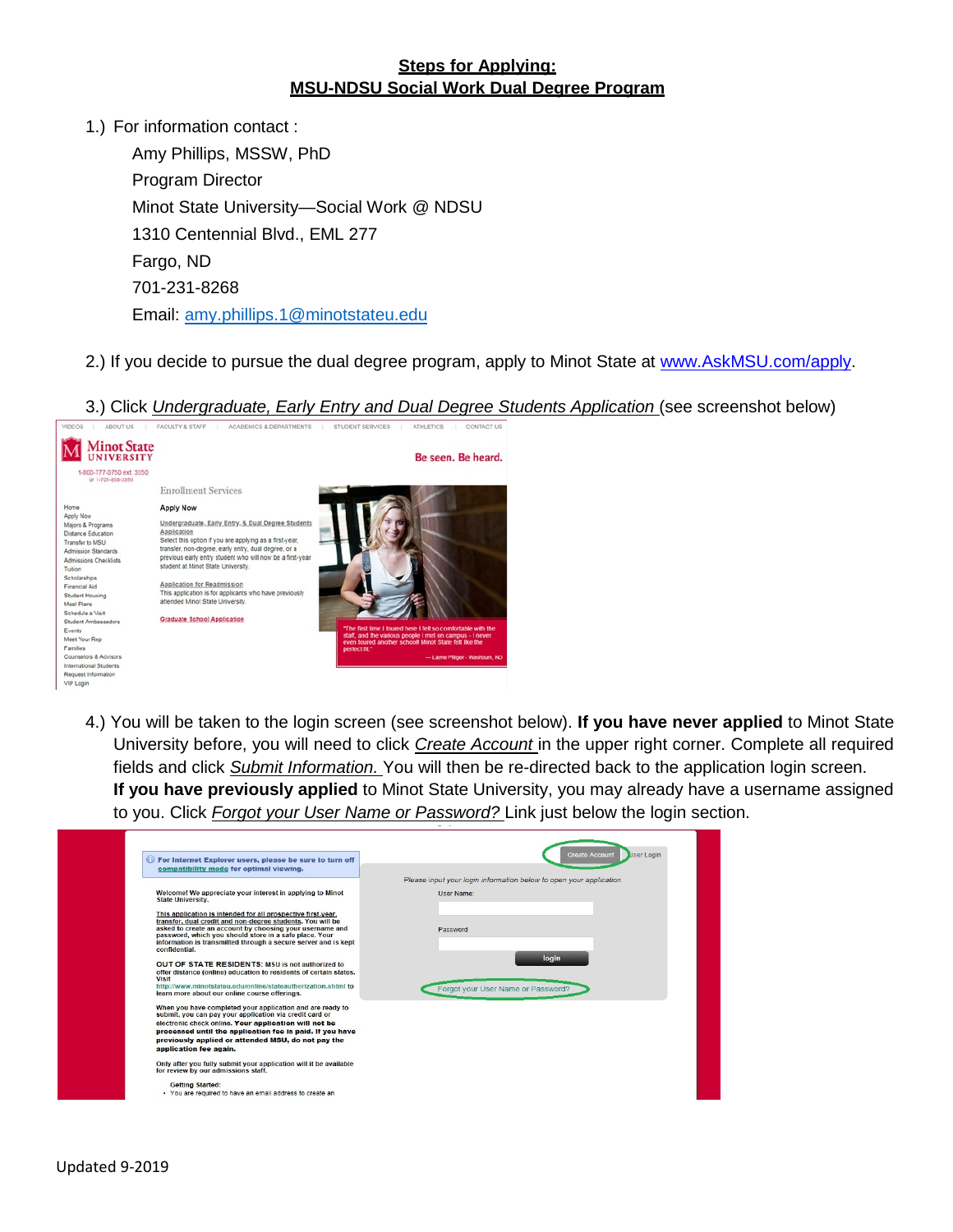## **Steps for Applying: MSU-NDSU Social Work Dual Degree Program**

1.) For information contact :

Amy Phillips, MSSW, PhD Program Director Minot State University—Social Work @ NDSU 1310 Centennial Blvd., EML 277 Fargo, ND 701-231-8268 Email: [amy.phillips.1@minotstateu.edu](mailto:amy.phillips.1@minotstateu.edu)

2.) If you decide to pursue the dual degree program, apply to Minot State at [www.AskMSU.com/apply.](http://www.askmsu.com/apply)

3.) Click *Undergraduate, Early Entry and Dual Degree Students Application* (see screenshot below)



4.) You will be taken to the login screen (see screenshot below). **If you have never applied** to Minot State University before, you will need to click *Create Account* in the upper right corner. Complete all required fields and click *Submit Information.* You will then be re-directed back to the application login screen. **If you have previously applied** to Minot State University, you may already have a username assigned to you. Click *Forgot your User Name or Password?* Link just below the login section.

| For Internet Explorer users, please be sure to turn off<br>compatibility mode for optimal viewing.                                                                               | <b>User Login</b><br><b>Create Account</b>                          |
|----------------------------------------------------------------------------------------------------------------------------------------------------------------------------------|---------------------------------------------------------------------|
|                                                                                                                                                                                  | Please input your login information below to open your application. |
| Welcome! We appreciate your interest in applying to Minot<br><b>State University.</b>                                                                                            | <b>User Name:</b>                                                   |
| This application is intended for all prospective first-year,                                                                                                                     |                                                                     |
| transfer, dual credit and non-degree students. You will be<br>asked to create an account by choosing your username and<br>password, which you should store in a safe place. Your | Password                                                            |
| information is transmitted through a secure server and is kept<br>confidential.                                                                                                  |                                                                     |
| OUT OF STATE RESIDENTS: MSU is not authorized to                                                                                                                                 | login                                                               |
| offer distance (online) education to residents of certain states.<br>Visit                                                                                                       |                                                                     |
| http://www.minotstateu.edu/online/stateauthorization.shtml to<br>learn more about our online course offerings.                                                                   | Forgot your User Name or Password?                                  |
| When you have completed your application and are ready to                                                                                                                        |                                                                     |
| submit, you can pay your application via credit card or<br>electronic check online. Your application will not be                                                                 |                                                                     |
| processed until the application fee is paid. If you have                                                                                                                         |                                                                     |
| previously applied or attended MSU, do not pay the                                                                                                                               |                                                                     |
| application fee again.                                                                                                                                                           |                                                                     |
| Only after you fully submit your application will it be available<br>for review by our admissions staff.                                                                         |                                                                     |
| <b>Getting Started:</b>                                                                                                                                                          |                                                                     |
| . You are required to have an email address to create an                                                                                                                         |                                                                     |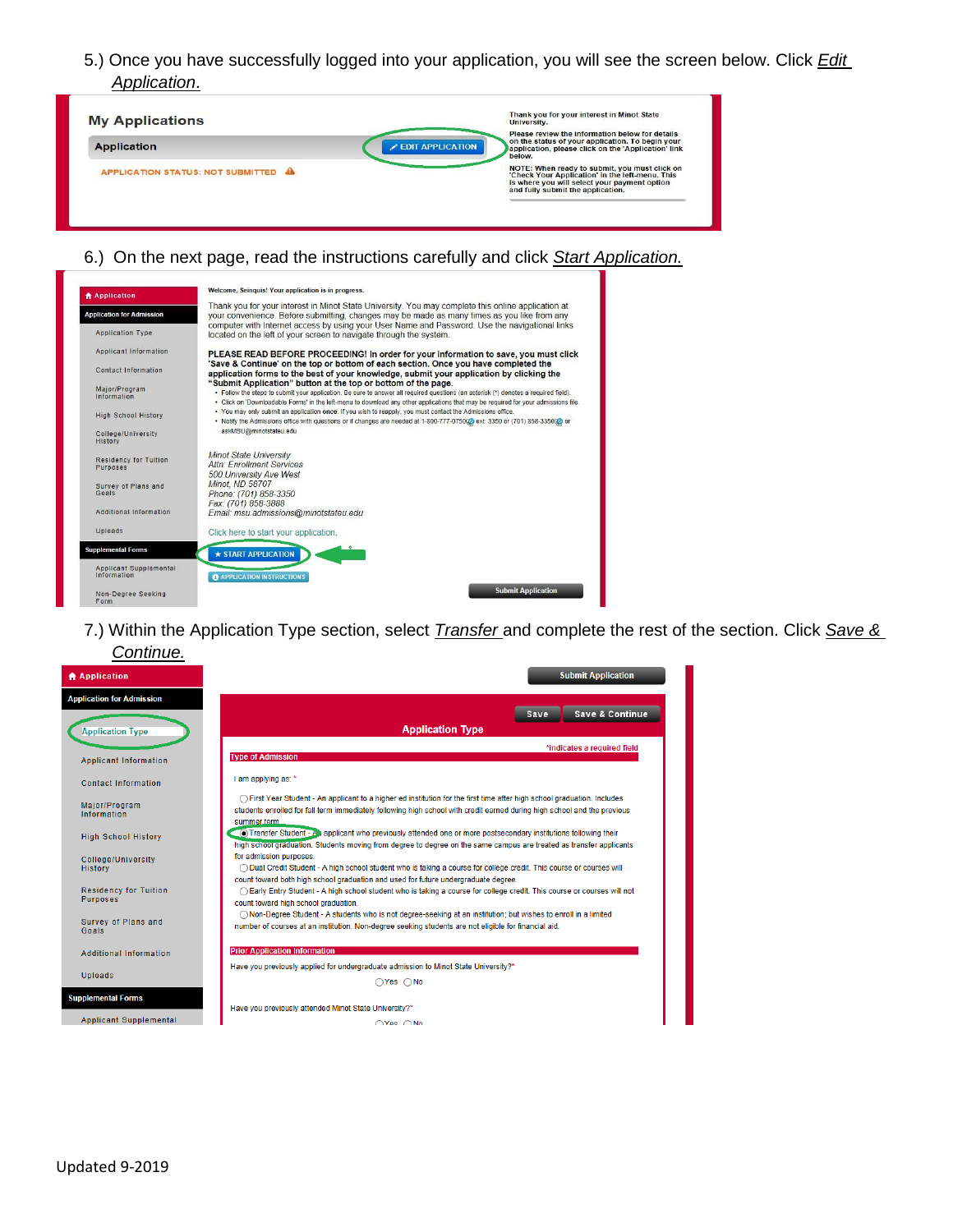5.) Once you have successfully logged into your application, you will see the screen below. Click *Edit Application*.

| <b>My Applications</b>              | Thank you for your interest in Minot State<br>University.                                                                                                                                       |
|-------------------------------------|-------------------------------------------------------------------------------------------------------------------------------------------------------------------------------------------------|
| <b>Application</b>                  | Please review the information below for details<br>on the status of your application. To begin your<br><b>EDIT APPLICATION</b><br>application, please click on the 'Application' link<br>below. |
| APPLICATION STATUS: NOT SUBMITTED A | NOTE: When ready to submit, you must click on<br>'Check Your Application' in the left-menu. This<br>is where you will select your payment option<br>and fully submit the application.           |

## 6.) On the next page, read the instructions carefully and click *Start Application.*

| <b>A</b> Application                     | Welcome, Seinguis! Your application is in progress.                                                                                                                                                                                                                                                                                        |
|------------------------------------------|--------------------------------------------------------------------------------------------------------------------------------------------------------------------------------------------------------------------------------------------------------------------------------------------------------------------------------------------|
| <b>Application for Admission</b>         | Thank you for your interest in Minot State University. You may complete this online application at<br>your convenience. Before submitting, changes may be made as many times as you like from any<br>computer with Internet access by using your User Name and Password. Use the navigational links                                        |
| <b>Application Type</b>                  | located on the left of your screen to navigate through the system.                                                                                                                                                                                                                                                                         |
| <b>Applicant Information</b>             | PLEASE READ BEFORE PROCEEDING! In order for your information to save, you must click                                                                                                                                                                                                                                                       |
| Contact Information                      | 'Save & Continue' on the top or bottom of each section. Once you have completed the<br>application forms to the best of your knowledge, submit your application by clicking the                                                                                                                                                            |
| Major/Program<br>Information             | "Submit Application" button at the top or bottom of the page.<br>. Follow the steps to submit your application. Be sure to answer all required questions (an asterisk (*) denotes a required field).<br>- Click on 'Downloadable Forms' in the left-menu to download any other applications that may be required for your admissions file. |
| <b>High School History</b>               | . You may only submit an application once. If you wish to reapply, you must contact the Admissions office.<br>. Notify the Admissions office with questions or if changes are needed at 1-800-777-075000 ext: 3350 or (701) 858-335000 or                                                                                                  |
| College/University<br>History            | askMSU@minotstateu.edu                                                                                                                                                                                                                                                                                                                     |
| <b>Residency for Tuition</b><br>Purposes | <b>Minot State University</b><br><b>Attn: Enrollment Services</b><br>500 University Ave West                                                                                                                                                                                                                                               |
| Survey of Plans and<br>Goals             | Minot. ND 58707<br>Phone: (701) 858-3350                                                                                                                                                                                                                                                                                                   |
| Additional Information                   | Fax: (701) 858-3888<br>Email: msu.admissions@minotstateu.edu                                                                                                                                                                                                                                                                               |
| Uploads                                  | Click here to start your application.                                                                                                                                                                                                                                                                                                      |
| <b>Supplemental Forms</b>                | <b>* START APPLICATION</b>                                                                                                                                                                                                                                                                                                                 |
| Applicant Supplemental<br>Information    | <b>@ APPLICATION INSTRUCTIONS</b>                                                                                                                                                                                                                                                                                                          |
| Non-Degree Seeking<br>Form               | <b>Submit Application</b>                                                                                                                                                                                                                                                                                                                  |

7.) Within the Application Type section, select *Transfer* and complete the rest of the section. Click *Save &* 

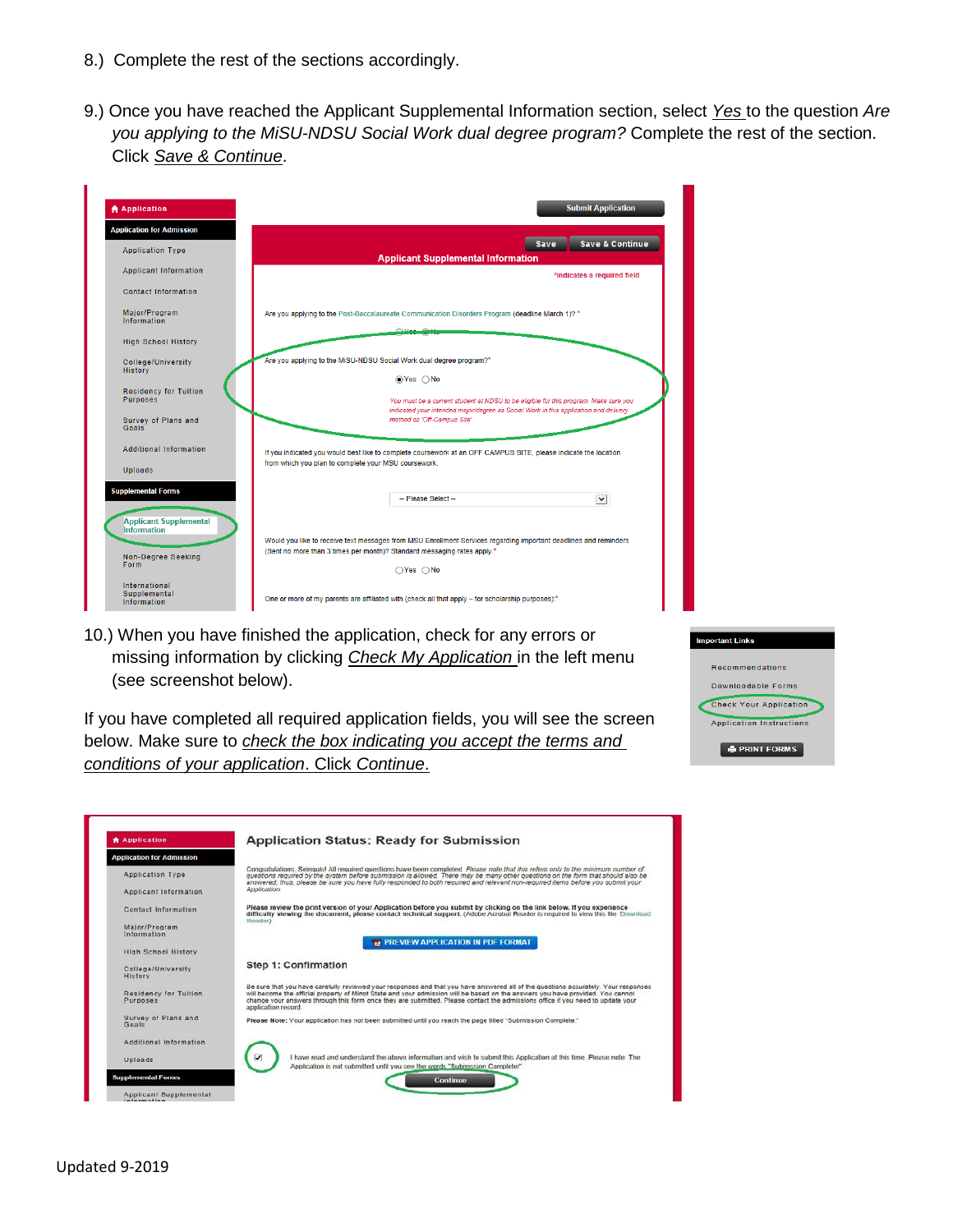- 8.) Complete the rest of the sections accordingly.
- 9.) Once you have reached the Applicant Supplemental Information section, select *Yes* to the question *Are you applying to the MiSU-NDSU Social Work dual degree program?* Complete the rest of the section. Click *Save & Continue*.

| <b>合 Application</b>                                | <b>Submit Application</b>                                                                                                                                                                   |
|-----------------------------------------------------|---------------------------------------------------------------------------------------------------------------------------------------------------------------------------------------------|
| <b>Application for Admission</b>                    |                                                                                                                                                                                             |
| <b>Application Type</b>                             | Save & Continue<br>Save<br><b>Applicant Supplemental Information</b>                                                                                                                        |
| <b>Applicant Information</b>                        | *indicates a required field                                                                                                                                                                 |
| Contact Information                                 |                                                                                                                                                                                             |
| Major/Program<br>Information                        | Are you applying to the Post-Baccalaureate Communication Disorders Program (deadline March 1)? *                                                                                            |
| <b>High School History</b>                          |                                                                                                                                                                                             |
| College/University<br><b>History</b>                | Are you applying to the MiSU-NDSU Social Work dual degree program?*<br>⊙Yes ∩No                                                                                                             |
| <b>Residency for Tuition</b><br>Purposes            | You must be a current student at NDSU to be eligible for this program. Make sure you<br>indicated your intended major/degree as Social Work in this application and delivery                |
| Survey of Plans and<br>Goals                        | method as 'Off-Campus Site'                                                                                                                                                                 |
| <b>Additional Information</b>                       | If you indicated you would best like to complete coursework at an OFF CAMPUS SITE, please indicate the location<br>from which you plan to complete your MSU coursework.                     |
| Uploads                                             |                                                                                                                                                                                             |
| <b>Supplemental Forms</b>                           | -- Please Select --<br>$\blacktriangledown$                                                                                                                                                 |
| <b>Applicant Supplemental</b><br><b>Information</b> |                                                                                                                                                                                             |
|                                                     | Would you like to receive text messages from MSU Enrollment Services regarding important deadlines and reminders<br>(Sent no more than 3 times per month)? Standard messaging rates apply.* |
| Non-Degree Seeking<br>Form                          | $\bigcirc$ Yes $\bigcirc$ No                                                                                                                                                                |
| International<br>Supplemental<br>Information        | One or more of my parents are affiliated with (check all that apply - for scholarship purposes):*                                                                                           |

10.) When you have finished the application, check for any errors or missing information by clicking *Check My Application* in the left menu (see screenshot below).

If you have completed all required application fields, you will see the screen below. Make sure to *check the box indicating you accept the terms and conditions of your application*. Click *Continue*.

| <b>Important Links</b>          |
|---------------------------------|
| <b>Recommendations</b>          |
| Downloadable Forms              |
| <b>Check Your Application</b>   |
| <b>Application Instructions</b> |
| <b>E PRINT FORMS</b>            |

| <b>Application</b>                       | <b>Application Status: Ready for Submission</b>                                                                                                                                                                                                                                                                                                                                                                               |
|------------------------------------------|-------------------------------------------------------------------------------------------------------------------------------------------------------------------------------------------------------------------------------------------------------------------------------------------------------------------------------------------------------------------------------------------------------------------------------|
| <b>Application for Admission</b>         |                                                                                                                                                                                                                                                                                                                                                                                                                               |
| Application Type                         | Congratulations, Seinquis! All required questions have been completed. Please note that this refers only to the minimum number of<br>questions required by the system before submission is allowed. There may be many other questions on the form that should also be<br>answered, thus, please be sure you have fully responded to both required and relevant non-required items before you submit your                      |
| <b>Applicant Information</b>             | Application.                                                                                                                                                                                                                                                                                                                                                                                                                  |
| <b>Contact Information</b>               | Please review the print version of your Application before you submit by clicking on the link below. If you experience<br>difficulty viewing the document, please contact technical support, (Adobe Acrobat Reader is required to view this file. Download<br>Reader)                                                                                                                                                         |
| Major/Program<br>Information             | <b>TA PREVIEW APPLICATION IN PDF FORMAT</b>                                                                                                                                                                                                                                                                                                                                                                                   |
| <b>High School History</b>               |                                                                                                                                                                                                                                                                                                                                                                                                                               |
| College/University<br>History            | Step 1: Confirmation                                                                                                                                                                                                                                                                                                                                                                                                          |
| <b>Residency for Tuition</b><br>Purposes | Be sure that you have carefully reviewed your responses and that you have answered all of the questions accurately. Your responses<br>will become the official property of Minot State and your admission will be based on the answers you have provided. You cannot<br>change your answers through this form once they are submitted. Please contact the admissions office if you need to update your<br>application record. |
| Survey of Plans and<br>Goals             | Please Note: Your application has not been submitted until you reach the page titled "Submission Complete."                                                                                                                                                                                                                                                                                                                   |
| Additional Information                   |                                                                                                                                                                                                                                                                                                                                                                                                                               |
| Uploads                                  | I have read and understand the above information and wish to submit this Application at this time. Please note: The<br>Application is not submitted until you see the words. "Submission Complete!"                                                                                                                                                                                                                           |
| <b>Supplemental Forms</b>                | Continue                                                                                                                                                                                                                                                                                                                                                                                                                      |